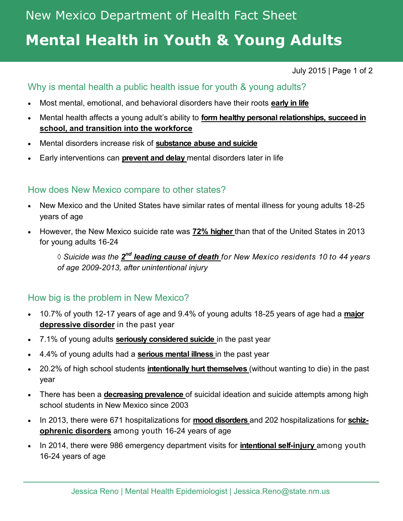# **Mental Health in Youth & Young Adults**

July 2015 | Page 1 of 2

## Why is mental health a public health issue for youth & young adults?

- Most mental, emotional, and behavioral disorders have their roots **early in life**
- Mental health affects a young adult's ability to **form healthy personal relationships, succeed in school, and transition into the workforce**
- Mental disorders increase risk of **substance abuse and suicide**
- Early interventions can **prevent and delay** mental disorders later in life

### How does New Mexico compare to other states?

- New Mexico and the United States have similar rates of mental illness for young adults 18-25 years of age
- However, the New Mexico suicide rate was **72% higher** than that of the United States in 2013 for young adults 16-24

 $\Diamond$  Suicide was the  $\mathbf{2}^{\mathsf{nd}}$  leading cause of death for New Mexico residents 10 to 44 years  $\Diamond$ *of age 2009-2013, after unintentional injury*

### How big is the problem in New Mexico?

- 10.7% of youth 12-17 years of age and 9.4% of young adults 18-25 years of age had a **major depressive disorder** in the past year
- 7.1% of young adults **seriously considered suicide** in the past year
- 4.4% of young adults had a **serious mental illness** in the past year
- 20.2% of high school students **intentionally hurt themselves** (without wanting to die) in the past year
- There has been a **decreasing prevalence** of suicidal ideation and suicide attempts among high school students in New Mexico since 2003
- In 2013, there were 671 hospitalizations for **mood disorders** and 202 hospitalizations for **schizophrenic disorders** among youth 16-24 years of age
- In 2014, there were 986 emergency department visits for **intentional self-injury** among youth 16-24 years of age